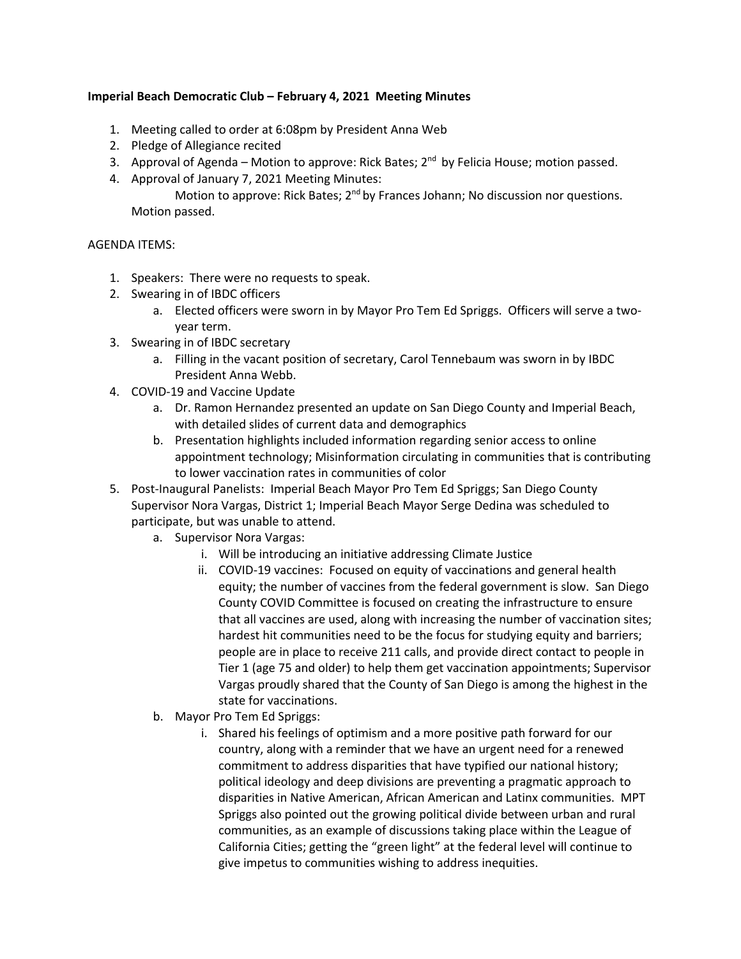## **Imperial Beach Democratic Club – February 4, 2021 Meeting Minutes**

- 1. Meeting called to order at 6:08pm by President Anna Web
- 2. Pledge of Allegiance recited
- 3. Approval of Agenda Motion to approve: Rick Bates;  $2<sup>nd</sup>$  by Felicia House; motion passed.
- 4. Approval of January 7, 2021 Meeting Minutes:

Motion to approve: Rick Bates; 2<sup>nd</sup> by Frances Johann; No discussion nor questions. Motion passed.

## AGENDA ITEMS:

- 1. Speakers: There were no requests to speak.
- 2. Swearing in of IBDC officers
	- a. Elected officers were sworn in by Mayor Pro Tem Ed Spriggs. Officers will serve a twoyear term.
- 3. Swearing in of IBDC secretary
	- a. Filling in the vacant position of secretary, Carol Tennebaum was sworn in by IBDC President Anna Webb.
- 4. COVID-19 and Vaccine Update
	- a. Dr. Ramon Hernandez presented an update on San Diego County and Imperial Beach, with detailed slides of current data and demographics
	- b. Presentation highlights included information regarding senior access to online appointment technology; Misinformation circulating in communities that is contributing to lower vaccination rates in communities of color
- 5. Post-Inaugural Panelists: Imperial Beach Mayor Pro Tem Ed Spriggs; San Diego County Supervisor Nora Vargas, District 1; Imperial Beach Mayor Serge Dedina was scheduled to participate, but was unable to attend.
	- a. Supervisor Nora Vargas:
		- i. Will be introducing an initiative addressing Climate Justice
		- ii. COVID-19 vaccines: Focused on equity of vaccinations and general health equity; the number of vaccines from the federal government is slow. San Diego County COVID Committee is focused on creating the infrastructure to ensure that all vaccines are used, along with increasing the number of vaccination sites; hardest hit communities need to be the focus for studying equity and barriers; people are in place to receive 211 calls, and provide direct contact to people in Tier 1 (age 75 and older) to help them get vaccination appointments; Supervisor Vargas proudly shared that the County of San Diego is among the highest in the state for vaccinations.
	- b. Mayor Pro Tem Ed Spriggs:
		- i. Shared his feelings of optimism and a more positive path forward for our country, along with a reminder that we have an urgent need for a renewed commitment to address disparities that have typified our national history; political ideology and deep divisions are preventing a pragmatic approach to disparities in Native American, African American and Latinx communities. MPT Spriggs also pointed out the growing political divide between urban and rural communities, as an example of discussions taking place within the League of California Cities; getting the "green light" at the federal level will continue to give impetus to communities wishing to address inequities.